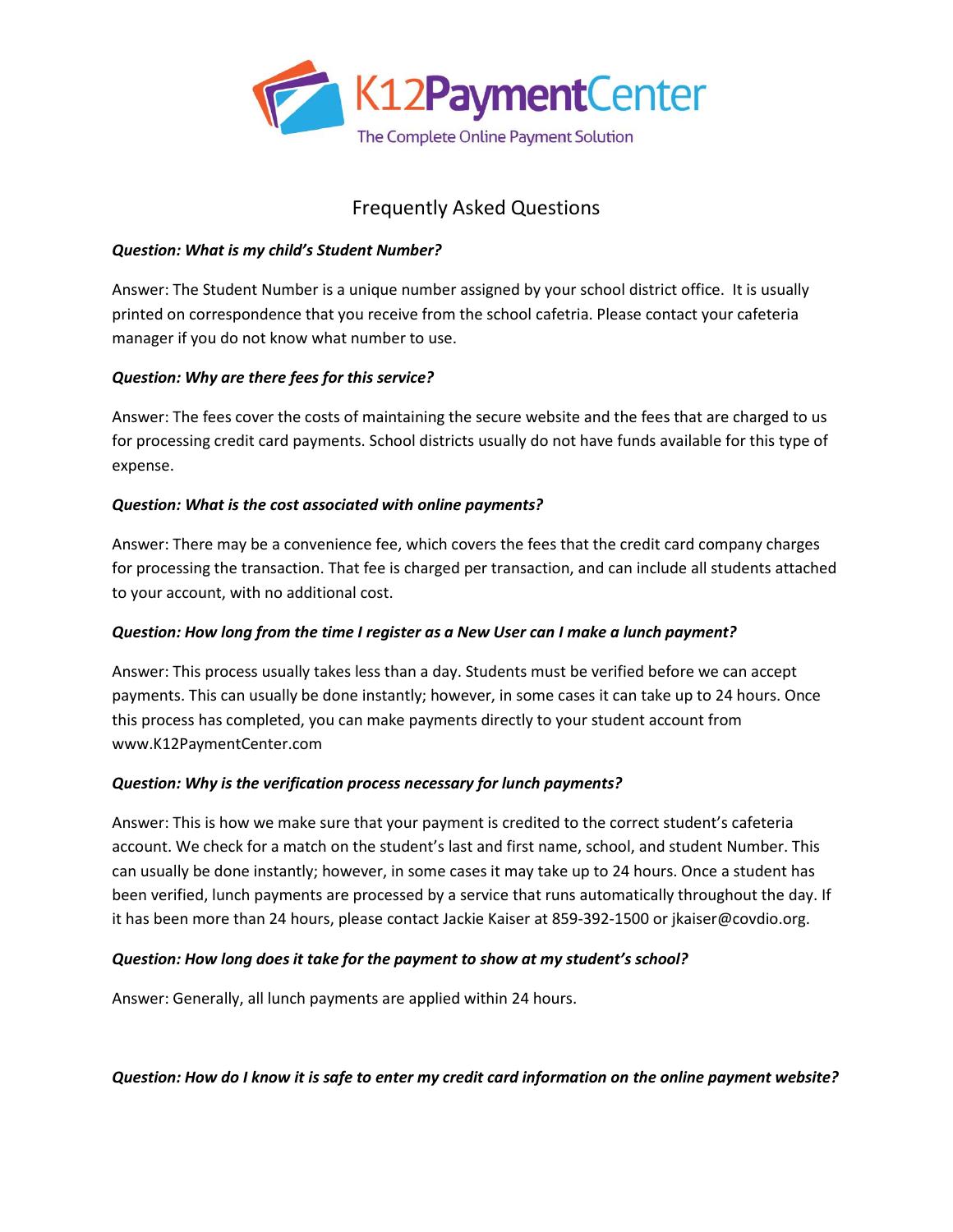

# Frequently Asked Questions

### *Question: What is my child's Student Number?*

Answer: The Student Number is a unique number assigned by your school district office. It is usually printed on correspondence that you receive from the school cafetria. Please contact your cafeteria manager if you do not know what number to use.

# *Question: Why are there fees for this service?*

Answer: The fees cover the costs of maintaining the secure website and the fees that are charged to us for processing credit card payments. School districts usually do not have funds available for this type of expense.

#### *Question: What is the cost associated with online payments?*

Answer: There may be a convenience fee, which covers the fees that the credit card company charges for processing the transaction. That fee is charged per transaction, and can include all students attached to your account, with no additional cost.

# *Question: How long from the time I register as a New User can I make a lunch payment?*

Answer: This process usually takes less than a day. Students must be verified before we can accept payments. This can usually be done instantly; however, in some cases it can take up to 24 hours. Once this process has completed, you can make payments directly to your student account from www.K12PaymentCenter.com

#### *Question: Why is the verification process necessary for lunch payments?*

Answer: This is how we make sure that your payment is credited to the correct student's cafeteria account. We check for a match on the student's last and first name, school, and student Number. This can usually be done instantly; however, in some cases it may take up to 24 hours. Once a student has been verified, lunch payments are processed by a service that runs automatically throughout the day. If it has been more than 24 hours, please contact Jackie Kaiser at 859-392-1500 or jkaiser@covdio.org.

#### *Question: How long does it take for the payment to show at my student's school?*

Answer: Generally, all lunch payments are applied within 24 hours.

*Question: How do I know it is safe to enter my credit card information on the online payment website?*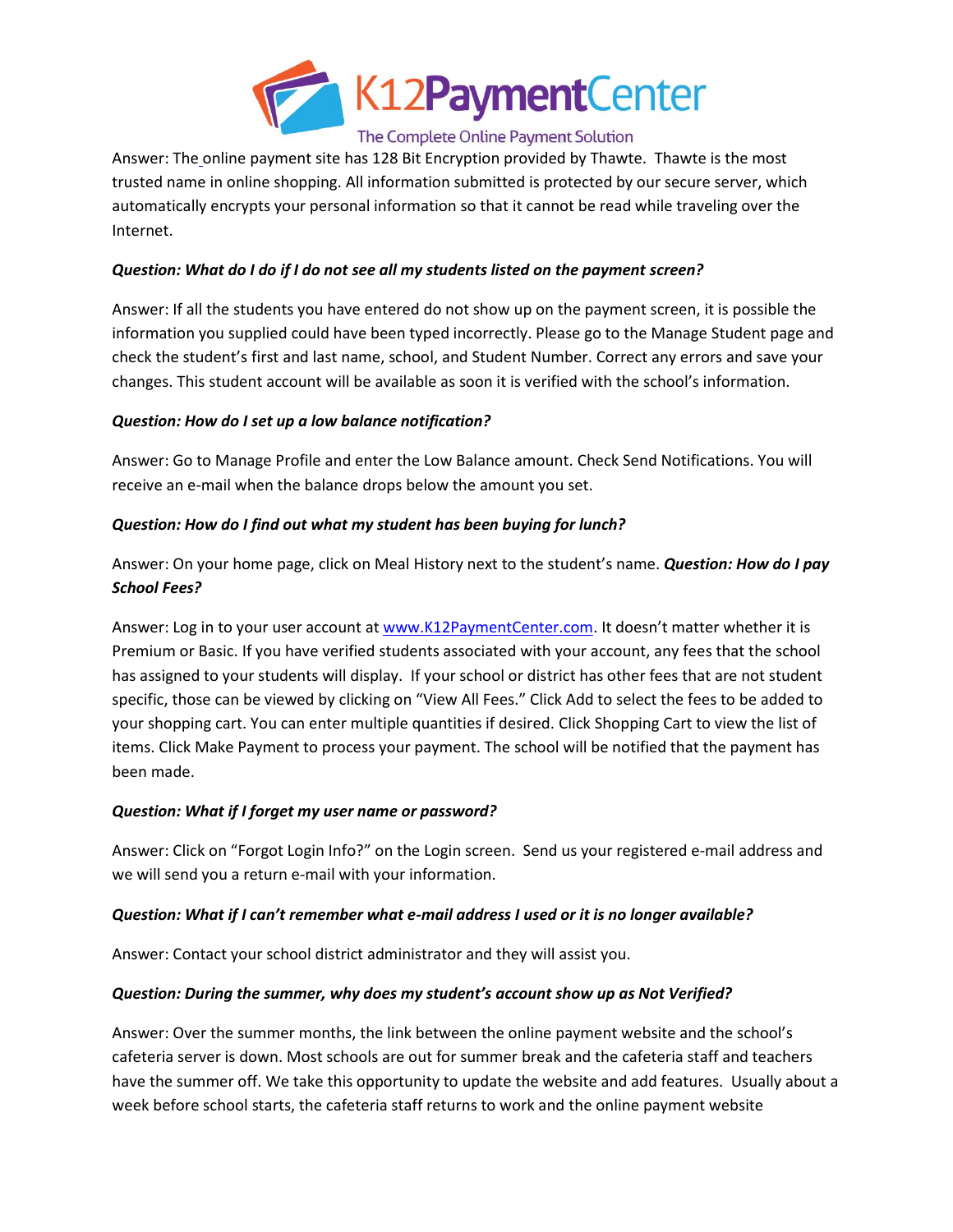

# The Complete Online Payment Solution

Answer: The online payment site has 128 Bit Encryption provided by Thawte. Thawte is the most trusted name in online shopping. All information submitted is protected by our secure server, which automatically encrypts your personal information so that it cannot be read while traveling over the Internet.

#### *Question: What do I do if I do not see all my students listed on the payment screen?*

Answer: If all the students you have entered do not show up on the payment screen, it is possible the information you supplied could have been typed incorrectly. Please go to the Manage Student page and check the student's first and last name, school, and Student Number. Correct any errors and save your changes. This student account will be available as soon it is verified with the school's information.

#### *Question: How do I set up a low balance notification?*

Answer: Go to Manage Profile and enter the Low Balance amount. Check Send Notifications. You will receive an e-mail when the balance drops below the amount you set.

#### *Question: How do I find out what my student has been buying for lunch?*

Answer: On your home page, click on Meal History next to the student's name. *Question: How do I pay School Fees?*

Answer: Log in to your user account at [www.K12PaymentCenter.com.](http://www.k12paymentcenter.com/) It doesn't matter whether it is Premium or Basic. If you have verified students associated with your account, any fees that the school has assigned to your students will display. If your school or district has other fees that are not student specific, those can be viewed by clicking on "View All Fees." Click Add to select the fees to be added to your shopping cart. You can enter multiple quantities if desired. Click Shopping Cart to view the list of items. Click Make Payment to process your payment. The school will be notified that the payment has been made.

#### *Question: What if I forget my user name or password?*

Answer: Click on "Forgot Login Info?" on the Login screen. Send us your registered e-mail address and we will send you a return e-mail with your information.

#### *Question: What if I can't remember what e-mail address I used or it is no longer available?*

Answer: Contact your school district administrator and they will assist you.

#### *Question: During the summer, why does my student's account show up as Not Verified?*

Answer: Over the summer months, the link between the online payment website and the school's cafeteria server is down. Most schools are out for summer break and the cafeteria staff and teachers have the summer off. We take this opportunity to update the website and add features. Usually about a week before school starts, the cafeteria staff returns to work and the online payment website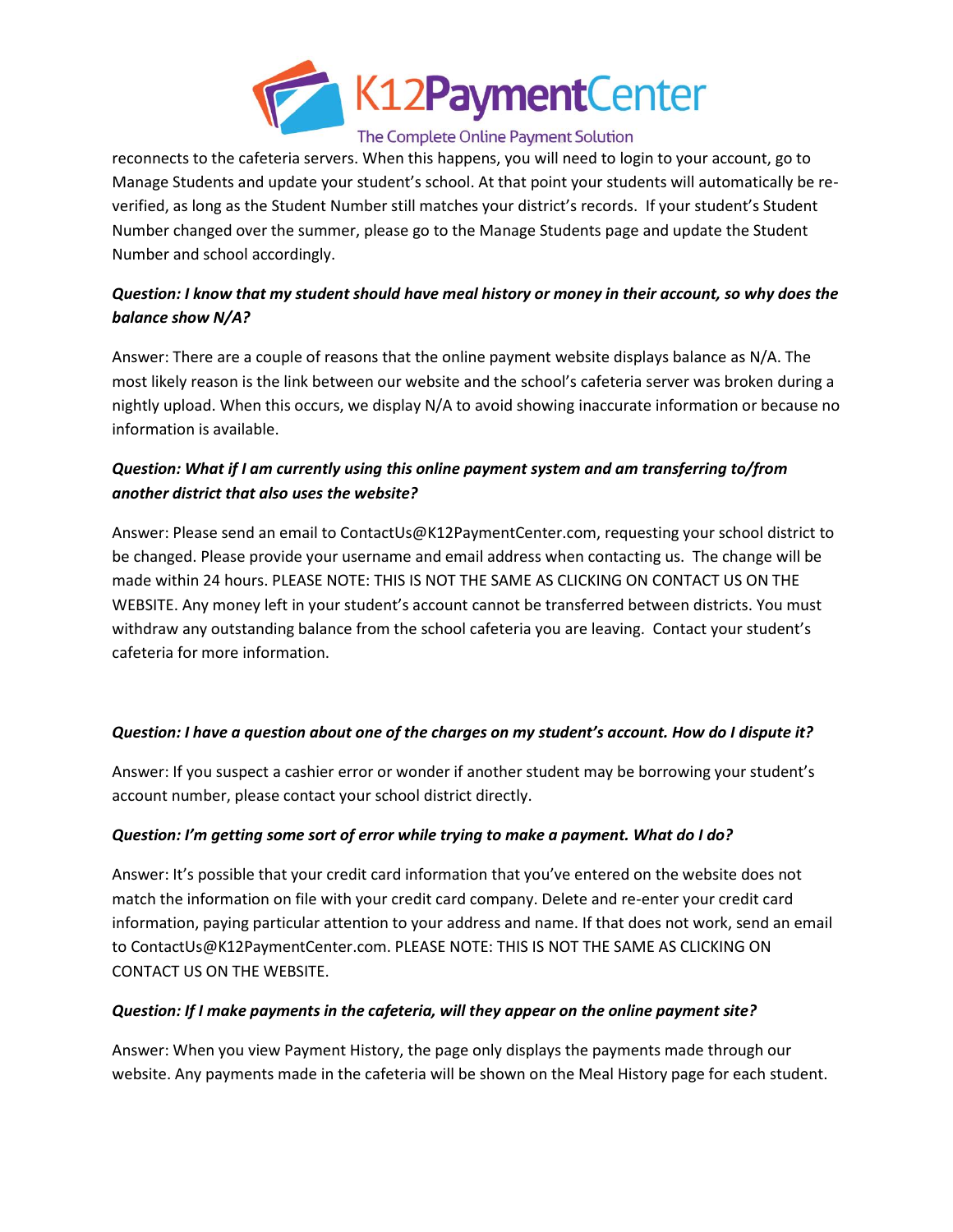

#### The Complete Online Payment Solution

reconnects to the cafeteria servers. When this happens, you will need to login to your account, go to Manage Students and update your student's school. At that point your students will automatically be reverified, as long as the Student Number still matches your district's records. If your student's Student Number changed over the summer, please go to the Manage Students page and update the Student Number and school accordingly.

# *Question: I know that my student should have meal history or money in their account, so why does the balance show N/A?*

Answer: There are a couple of reasons that the online payment website displays balance as N/A. The most likely reason is the link between our website and the school's cafeteria server was broken during a nightly upload. When this occurs, we display N/A to avoid showing inaccurate information or because no information is available.

# *Question: What if I am currently using this online payment system and am transferring to/from another district that also uses the website?*

Answer: Please send an email to ContactUs@K12PaymentCenter.com, requesting your school district to be changed. Please provide your username and email address when contacting us. The change will be made within 24 hours. PLEASE NOTE: THIS IS NOT THE SAME AS CLICKING ON CONTACT US ON THE WEBSITE. Any money left in your student's account cannot be transferred between districts. You must withdraw any outstanding balance from the school cafeteria you are leaving. Contact your student's cafeteria for more information.

# *Question: I have a question about one of the charges on my student's account. How do I dispute it?*

Answer: If you suspect a cashier error or wonder if another student may be borrowing your student's account number, please contact your school district directly.

# *Question: I'm getting some sort of error while trying to make a payment. What do I do?*

Answer: It's possible that your credit card information that you've entered on the website does not match the information on file with your credit card company. Delete and re-enter your credit card information, paying particular attention to your address and name. If that does not work, send an email to ContactUs@K12PaymentCenter.com. PLEASE NOTE: THIS IS NOT THE SAME AS CLICKING ON CONTACT US ON THE WEBSITE.

#### *Question: If I make payments in the cafeteria, will they appear on the online payment site?*

Answer: When you view Payment History, the page only displays the payments made through our website. Any payments made in the cafeteria will be shown on the Meal History page for each student.